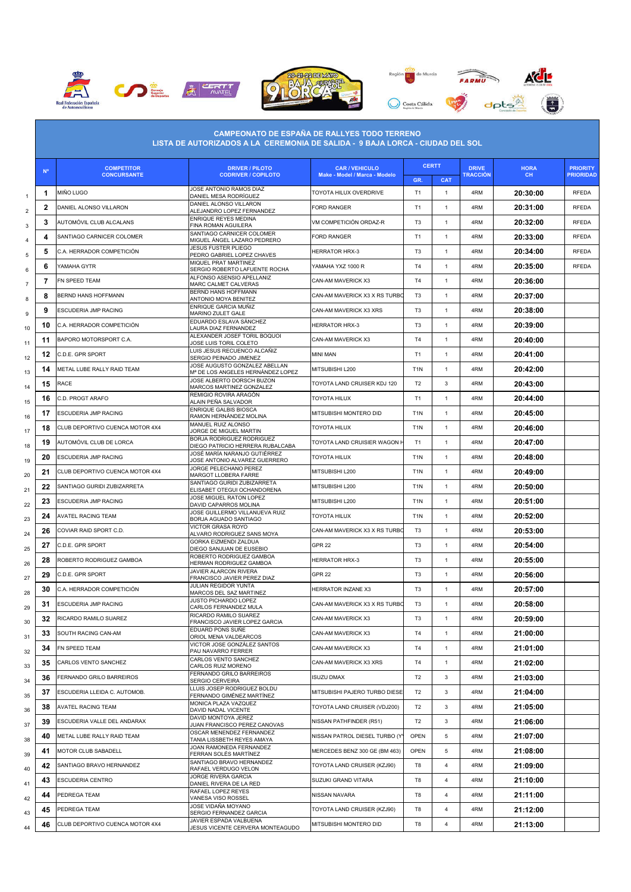





|                           | $N^{\circ}$  | <b>COMPETITOR</b>               | <b>DRIVER / PILOTO</b>                                             | <b>CAR / VEHICULO</b>         |                  | <b>CERTT</b>   | <b>DRIVE</b>    | <b>HORA</b> | <b>PRIORITY</b>  |
|---------------------------|--------------|---------------------------------|--------------------------------------------------------------------|-------------------------------|------------------|----------------|-----------------|-------------|------------------|
|                           |              | <b>CONCURSANTE</b>              | <b>CODRIVER / COPILOTO</b>                                         | Make - Model / Marca - Modelo | GR.              | <b>CAT</b>     | <b>TRACCIÓN</b> | CH.         | <b>PRIORIDAD</b> |
| $\mathbf{1}$              | 1            | <b>MIÑO LUGO</b>                | JOSE ANTONIO RAMOS DIAZ<br>DANIEL MESA RODRÍGUEZ                   | TOYOTA HILUX OVERDRIVE        | T <sub>1</sub>   | $\mathbf{1}$   | 4RM             | 20:30:00    | <b>RFEDA</b>     |
| $\sqrt{2}$                | $\mathbf{2}$ | DANIEL ALONSO VILLARON          | DANIEL ALONSO VILLARON<br>ALEJANDRO LOPEZ FERNANDEZ                | <b>FORD RANGER</b>            | T1               | $\mathbf{1}$   | 4RM             | 20:31:00    | <b>RFEDA</b>     |
| $\ensuremath{\mathsf{3}}$ | 3            | AUTOMÓVIL CLUB ALCALANS         | ENRIQUE REYES MEDINA<br>FINA ROMAN AGUILERA                        | VM COMPETICIÓN ORDAZ-R        | T <sub>3</sub>   | 1              | 4RM             | 20:32:00    | <b>RFEDA</b>     |
| $\overline{4}$            | 4            | SANTIAGO CARNICER COLOMER       | SANTIAGO CARNICER COLOMER<br>MIGUEL ANGEL LAZARO PEDRERO           | FORD RANGER                   | T1               | $\mathbf{1}$   | 4RM             | 20:33:00    | <b>RFEDA</b>     |
| 5                         | 5            | C.A. HERRADOR COMPETICIÓN       | <b>JESUS FUSTER PLIEGO</b><br>PEDRO GABRIEL LOPEZ CHAVES           | <b>HERRATOR HRX-3</b>         | T <sub>3</sub>   | 1              | 4RM             | 20:34:00    | <b>RFEDA</b>     |
| 6                         | 6            | YAMAHA GYTR                     | MIQUEL PRAT MARTINEZ<br>SERGIO ROBERTO LAFUENTE ROCHA              | YAMAHA YXZ 1000 R             | T <sub>4</sub>   | $\mathbf{1}$   | 4RM             | 20:35:00    | <b>RFEDA</b>     |
| $\overline{7}$            | 7            | FN SPEED TEAM                   | ALFONSO ASENSIO APELLANIZ<br>MARC CALMET CALVERAS                  | CAN-AM MAVERICK X3            | T <sub>4</sub>   | $\mathbf{1}$   | 4RM             | 20:36:00    |                  |
| 8                         | 8            | BERND HANS HOFFMANN             | BERND HANS HOFFMANN<br>ANTONIO MOYA BENITEZ                        | CAN-AM MAVERICK X3 X RS TURBO | T <sub>3</sub>   | 1              | 4RM             | 20:37:00    |                  |
| 9                         | 9            | ESCUDERIA JMP RACING            | ENRIQUE GARCIA MUÑIZ<br>MARINO ZULET GALE                          | CAN-AM MAVERICK X3 XRS        | T <sub>3</sub>   | $\mathbf{1}$   | 4RM             | 20:38:00    |                  |
| 10                        | 10           | C.A. HERRADOR COMPETICIÓN       | EDUARDO ESLAVA SÁNCHEZ<br><b>AURA DIAZ FERNANDEZ</b>               | <b>HERRATOR HRX-3</b>         | T <sub>3</sub>   | $\mathbf{1}$   | 4RM             | 20:39:00    |                  |
| 11                        | 11           | BAPORO MOTORSPORT C.A.          | ALEXANDER JOSEF TORIL BOQUOI<br>JOSE LUIS TORIL COLETO             | CAN-AM MAVERICK X3            | T <sub>4</sub>   | $\mathbf{1}$   | 4RM             | 20:40:00    |                  |
| 12                        | 12           | C.D.E. GPR SPORT                | LUIS JESUS RECUENCO ALCAÑIZ<br>SERGIO PEINADO JIMENEZ              | MINI MAN                      | T <sub>1</sub>   | $\mathbf{1}$   | 4RM             | 20:41:00    |                  |
| 13                        | 14           | METAL LUBE RALLY RAID TEAM      | JOSE AUGUSTO GONZALEZ ABELLAN<br>Mª DE LOS ANGELES HERNÁNDEZ LOPEZ | MITSUBISHI L200               | T <sub>1</sub> N | 1              | 4RM             | 20:42:00    |                  |
| 14                        | 15           | RACE                            | JOSE ALBERTO DORSCH BUZON<br>MARCOS MARTINEZ GONZALEZ              | TOYOTA LAND CRUISER KDJ 120   | T <sub>2</sub>   | 3              | 4RM             | 20:43:00    |                  |
| 15                        | 16           | C.D. PROGT ARAFO                | REMIGIO ROVIRA ARAGÓN<br>ALAIN PEÑA SALVADOR                       | TOYOTA HILUX                  | T1               | $\mathbf{1}$   | 4RM             | 20:44:00    |                  |
| 16                        | 17           | ESCUDERIA JMP RACING            | ENRIQUE GALBIS BIOSCA<br>RAMON HERNÁNDEZ MOLINA                    | MITSUBISHI MONTERO DID        | T <sub>1</sub> N | $\mathbf{1}$   | 4RM             | 20:45:00    |                  |
| 17                        | 18           | CLUB DEPORTIVO CUENCA MOTOR 4X4 | MANUEL RUIZ ALONSO<br>JORGE DE MIGUEL MARTIN                       | <b>TOYOTA HILUX</b>           | T <sub>1</sub> N | $\mathbf{1}$   | 4RM             | 20:46:00    |                  |
|                           | 19           | AUTOMÓVIL CLUB DE LORCA         | BORJA RODRIGUEZ RODRIGUEZ                                          | TOYOTA LAND CRUISIER WAGON    | T <sub>1</sub>   | $\mathbf{1}$   | 4RM             | 20:47:00    |                  |
| 18                        | 20           | ESCUDERIA JMP RACING            | DIEGO PATRICIO HERRERA RUBALCABA<br>JOSÉ MARÍA NARANJO GUTIÉRREZ   | <b>TOYOTA HILUX</b>           | T <sub>1</sub> N | $\mathbf{1}$   | 4RM             | 20:48:00    |                  |
| 19                        | 21           | CLUB DEPORTIVO CUENCA MOTOR 4X4 | JOSE ANTONIO ALVAREZ GUERRERO<br>JORGE PELECHANO PEREZ             | MITSUBISHI L200               | T <sub>1</sub> N | 1              | 4RM             | 20:49:00    |                  |
| 20                        | 22           | SANTIAGO GURIDI ZUBIZARRETA     | MARGOT LLOBERA FARRE<br>SANTIAGO GURIDI ZUBIZARRETA                | MITSUBISHI L200               | T <sub>1</sub> N | $\mathbf{1}$   | 4RM             | 20:50:00    |                  |
| 21                        | 23           | ESCUDERIA JMP RACING            | ELISABET OTEGUI OCHANDORENA<br>JOSE MIGUEL RATON LOPEZ             | MITSUBISHI L200               | T <sub>1</sub> N | $\mathbf{1}$   | 4RM             | 20:51:00    |                  |
| 22                        | 24           | <b>AVATEL RACING TEAM</b>       | DAVID CAPARROS MOLINA<br>JOSE GUILLERMO VILLANUEVA RUIZ            | TOYOTA HILUX                  | T <sub>1</sub> N | $\mathbf{1}$   | 4RM             | 20:52:00    |                  |
| 23                        | 26           | COVIAR RAID SPORT C.D.          | BORJA AGUADO SANTIAGO<br>VICTOR GRASA ROYO                         | CAN-AM MAVERICK X3 X RS TURBO | T <sub>3</sub>   | $\mathbf{1}$   | 4RM             | 20:53:00    |                  |
| 24                        | 27           | C.D.E. GPR SPORT                | ALVARO RODRIGUEZ SANS MOYA<br><b>GORKA EIZMENDI ZALDUA</b>         | <b>GPR 22</b>                 | T <sub>3</sub>   | $\mathbf{1}$   | 4RM             | 20:54:00    |                  |
| 25                        | 28           | ROBERTO RODRIGUEZ GAMBOA        | DIEGO SANJUAN DE EUSEBIO<br>ROBERTO RODRIGUEZ GAMBOA               | <b>HERRATOR HRX-3</b>         | T <sub>3</sub>   | $\mathbf{1}$   | 4RM             | 20:55:00    |                  |
| 26                        |              | C.D.E. GPR SPORT                | HERMAN RODRIGUEZ GAMBOA<br><b>JAVIER ALARCON RIVERA</b>            |                               |                  |                |                 |             |                  |
| 27                        | 29           |                                 | FRANCISCO JAVIER PEREZ DIAZ<br>JULIAN REGIDOR YUNTA                | GPR <sub>22</sub>             | T <sub>3</sub>   | $\mathbf{1}$   | 4RM             | 20:56:00    |                  |
| 28                        | 30           | C.A. HERRADOR COMPETICIÓN       | MARCOS DEL SAZ MARTINEZ<br>JUSTO PICHARDO LOPEZ                    | HERRATOR INZANE X3            | T <sub>3</sub>   | 1              | 4RM             | 20:57:00    |                  |
| 29                        | 31           | <b>ESCUDERIA JMP RACING</b>     | CARLOS FERNANDEZ MULA<br>RICARDO RAMILO SUAREZ                     | CAN-AM MAVERICK X3 X RS TURBO | T <sub>3</sub>   |                | 4RM             | 20:58:00    |                  |
| 30                        | 32           | RICARDO RAMILO SUAREZ           | FRANCISCO JAVIER LOPEZ GARCIA<br>EDUARD PONS SUÑE                  | CAN-AM MAVERICK X3            | T <sub>3</sub>   | $\mathbf{1}$   | 4RM             | 20:59:00    |                  |
| 31                        | 33           | SOUTH RACING CAN-AM             | ORIOL MENA VALDEARCOS<br>VICTOR JOSE GONZÁLEZ SANTOS               | CAN-AM MAVERICK X3            | T <sub>4</sub>   | $\mathbf{1}$   | 4RM             | 21:00:00    |                  |
| 32                        | 34           | FN SPEED TEAM                   | PAU NAVARRO FERRER<br>CARLOS VENTO SANCHEZ                         | CAN-AM MAVERICK X3            | T <sub>4</sub>   | $\mathbf{1}$   | 4RM             | 21:01:00    |                  |
| 33                        | 35           | CARLOS VENTO SANCHEZ            | CARLOS RUIZ MORENO<br>FERNANDO GRILO BARREIROS                     | CAN-AM MAVERICK X3 XRS        | T4               | $\mathbf{1}$   | 4RM             | 21:02:00    |                  |
| 34                        | 36           | <b>FERNANDO GRILO BARREIROS</b> | <b>SERGIO CERVEIRA</b><br>LLUIS JOSEP RODRIGUEZ BOLDU              | <b>ISUZU DMAX</b>             | T <sub>2</sub>   | 3              | 4RM             | 21:03:00    |                  |
| 35                        | 37           | ESCUDERIA LLEIDA C. AUTOMOB.    | FERNANDO GIMÉNEZ MARTÍNEZ<br>MONICA PLAZA VAZQUEZ                  | MITSUBISHI PAJERO TURBO DIESE | T <sub>2</sub>   | 3              | 4RM             | 21:04:00    |                  |
| 36                        | 38           | <b>AVATEL RACING TEAM</b>       | DAVID NADAL VICENTE<br>DAVID MONTOYA JEREZ                         | TOYOTA LAND CRUISER (VDJ200)  | T <sub>2</sub>   | 3              | 4RM             | 21:05:00    |                  |
| 37                        | 39           | ESCUDERIA VALLE DEL ANDARAX     | JUAN FRANCISCO PEREZ CANOVAS                                       | NISSAN PATHFINDER (R51)       | T <sub>2</sub>   | 3              | 4RM             | 21:06:00    |                  |
| 38                        | 40           | METAL LUBE RALLY RAID TEAM      | OSCAR MENENDEZ FERNANDEZ<br>TANIA LISSBETH REYES AMAYA             | NISSAN PATROL DIESEL TURBO (Y | <b>OPEN</b>      | 5              | 4RM             | 21:07:00    |                  |
| 39                        | 41           | MOTOR CLUB SABADELL             | JOAN RAMONEDA FERNANDEZ<br>FERRAN SOLÉS MARTÍNEZ                   | MERCEDES BENZ 300 GE (BM 463) | OPEN             | 5              | 4RM             | 21:08:00    |                  |
| 40                        | 42           | SANTIAGO BRAVO HERNANDEZ        | SANTIAGO BRAVO HERNANDEZ<br>RAFAEL VERDUGO VELON                   | TOYOTA LAND CRUISER (KZJ90)   | T8               | $\overline{4}$ | 4RM             | 21:09:00    |                  |
| 41                        | 43           | ESCUDERIA CENTRO                | JORGE RIVERA GARCIA<br>DANIEL RIVERA DE LA RED                     | SUZUKI GRAND VITARA           | T8               | $\overline{4}$ | 4RM             | 21:10:00    |                  |
| 42                        | 44           | PEDREGA TEAM                    | RAFAEL LOPEZ REYES<br>VANESA VISO ROSSEL                           | NISSAN NAVARA                 | T8               | $\overline{4}$ | 4RM             | 21:11:00    |                  |
| 43                        | 45           | PEDREGA TEAM                    | JOSE VIDAÑA MOYANO<br>SERGIO FERNANDEZ GARCIA                      | TOYOTA LAND CRUISER (KZJ90)   | T8               | $\overline{4}$ | 4RM             | 21:12:00    |                  |
| 44                        | 46           | CLUB DEPORTIVO CUENCA MOTOR 4X4 | JAVIER ESPADA VALBUENA<br>JESUS VICENTE CERVERA MONTEAGUDO         | MITSUBISHI MONTERO DID        | T8               | 4              | 4RM             | 21:13:00    |                  |